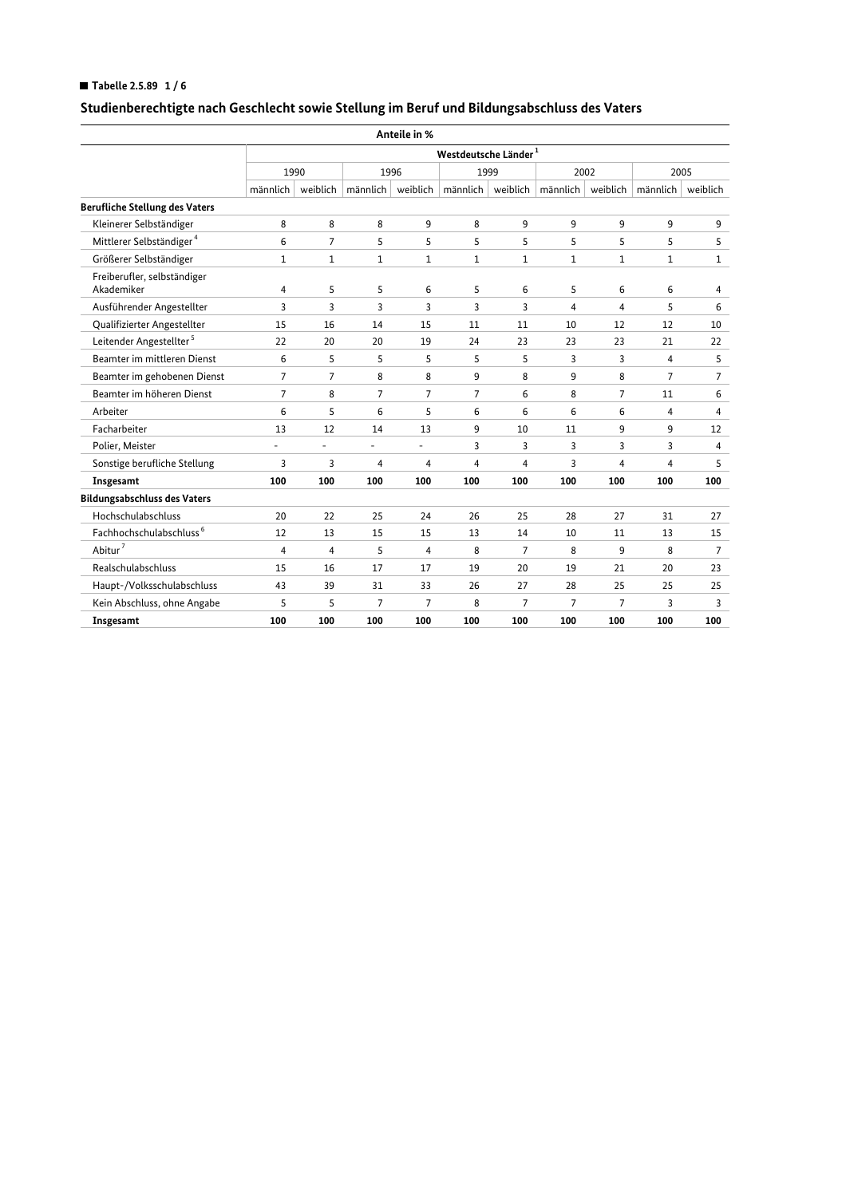## ■ Tabelle 2.5.89  $1/6$

|                                           |                |                                  |                | Anteile in %             |                                           |                |                     |                |                          |                |  |  |  |
|-------------------------------------------|----------------|----------------------------------|----------------|--------------------------|-------------------------------------------|----------------|---------------------|----------------|--------------------------|----------------|--|--|--|
|                                           |                | Westdeutsche Länder <sup>1</sup> |                |                          |                                           |                |                     |                |                          |                |  |  |  |
|                                           |                | 1990                             |                | 1996                     |                                           | 1999           | 2002                |                | 2005                     |                |  |  |  |
|                                           | männlich       |                                  |                |                          | weiblich   männlich   weiblich   männlich |                | weiblich   männlich |                | weiblich $\mid$ männlich | weiblich       |  |  |  |
| <b>Berufliche Stellung des Vaters</b>     |                |                                  |                |                          |                                           |                |                     |                |                          |                |  |  |  |
| Kleinerer Selbständiger                   | 8              | 8                                | 8              | 9                        | 8                                         | 9              | 9                   | 9              | 9                        | 9              |  |  |  |
| Mittlerer Selbständiger <sup>4</sup>      | 6              | $\overline{7}$                   | 5              | 5                        | 5                                         | 5              | 5                   | 5              | 5                        | 5              |  |  |  |
| Größerer Selbständiger                    | 1              | 1                                | 1              | 1                        | $\mathbf 1$                               | 1              | 1                   | 1              | 1                        | 1              |  |  |  |
| Freiberufler, selbständiger<br>Akademiker | 4              | 5                                | 5              | 6                        | 5                                         | 6              | 5                   | 6              | 6                        | 4              |  |  |  |
| Ausführender Angestellter                 | 3              | 3                                | 3              | 3                        | 3                                         | 3              | 4                   | 4              | 5                        | 6              |  |  |  |
| Qualifizierter Angestellter               | 15             | 16                               | 14             | 15                       | 11                                        | 11             | 10                  | 12             | 12                       | 10             |  |  |  |
| Leitender Angestellter <sup>5</sup>       | 22             | 20                               | 20             | 19                       | 24                                        | 23             | 23                  | 23             | 21                       | 22             |  |  |  |
| Beamter im mittleren Dienst               | 6              | 5                                | 5              | 5                        | 5                                         | 5              | 3                   | 3              | 4                        | 5              |  |  |  |
| Beamter im gehobenen Dienst               | $\overline{7}$ | $\overline{7}$                   | 8              | 8                        | 9                                         | 8              | 9                   | 8              | 7                        | $\overline{7}$ |  |  |  |
| Beamter im höheren Dienst                 | 7              | 8                                | 7              | $\overline{7}$           | $\overline{7}$                            | 6              | 8                   | $\overline{7}$ | 11                       | 6              |  |  |  |
| Arbeiter                                  | 6              | 5                                | 6              | 5                        | 6                                         | 6              | 6                   | 6              | 4                        | 4              |  |  |  |
| Facharbeiter                              | 13             | 12                               | 14             | 13                       | 9                                         | 10             | 11                  | 9              | 9                        | 12             |  |  |  |
| Polier, Meister                           | L.             | ÷,                               |                | $\overline{\phantom{a}}$ | 3                                         | 3              | 3                   | 3              | 3                        | 4              |  |  |  |
| Sonstige berufliche Stellung              | 3              | 3                                | 4              | 4                        | 4                                         | 4              | 3                   | 4              | 4                        | 5              |  |  |  |
| Insgesamt                                 | 100            | 100                              | 100            | 100                      | 100                                       | 100            | 100                 | 100            | 100                      | 100            |  |  |  |
| <b>Bildungsabschluss des Vaters</b>       |                |                                  |                |                          |                                           |                |                     |                |                          |                |  |  |  |
| Hochschulabschluss                        | 20             | 22                               | 25             | 24                       | 26                                        | 25             | 28                  | 27             | 31                       | 27             |  |  |  |
| Fachhochschulabschluss <sup>6</sup>       | 12             | 13                               | 15             | 15                       | 13                                        | 14             | 10                  | 11             | 13                       | 15             |  |  |  |
| Abitur <sup>7</sup>                       | 4              | 4                                | 5              | 4                        | 8                                         | $\overline{7}$ | 8                   | 9              | 8                        | $\overline{7}$ |  |  |  |
| Realschulabschluss                        | 15             | 16                               | 17             | 17                       | 19                                        | 20             | 19                  | 21             | 20                       | 23             |  |  |  |
| Haupt-/Volksschulabschluss                | 43             | 39                               | 31             | 33                       | 26                                        | 27             | 28                  | 25             | 25                       | 25             |  |  |  |
| Kein Abschluss, ohne Angabe               | 5              | 5                                | $\overline{7}$ | $\overline{7}$           | 8                                         | $\overline{7}$ | $\overline{7}$      | 7              | 3                        | 3              |  |  |  |
| Insgesamt                                 | 100            | 100                              | 100            | 100                      | 100                                       | 100            | 100                 | 100            | 100                      | 100            |  |  |  |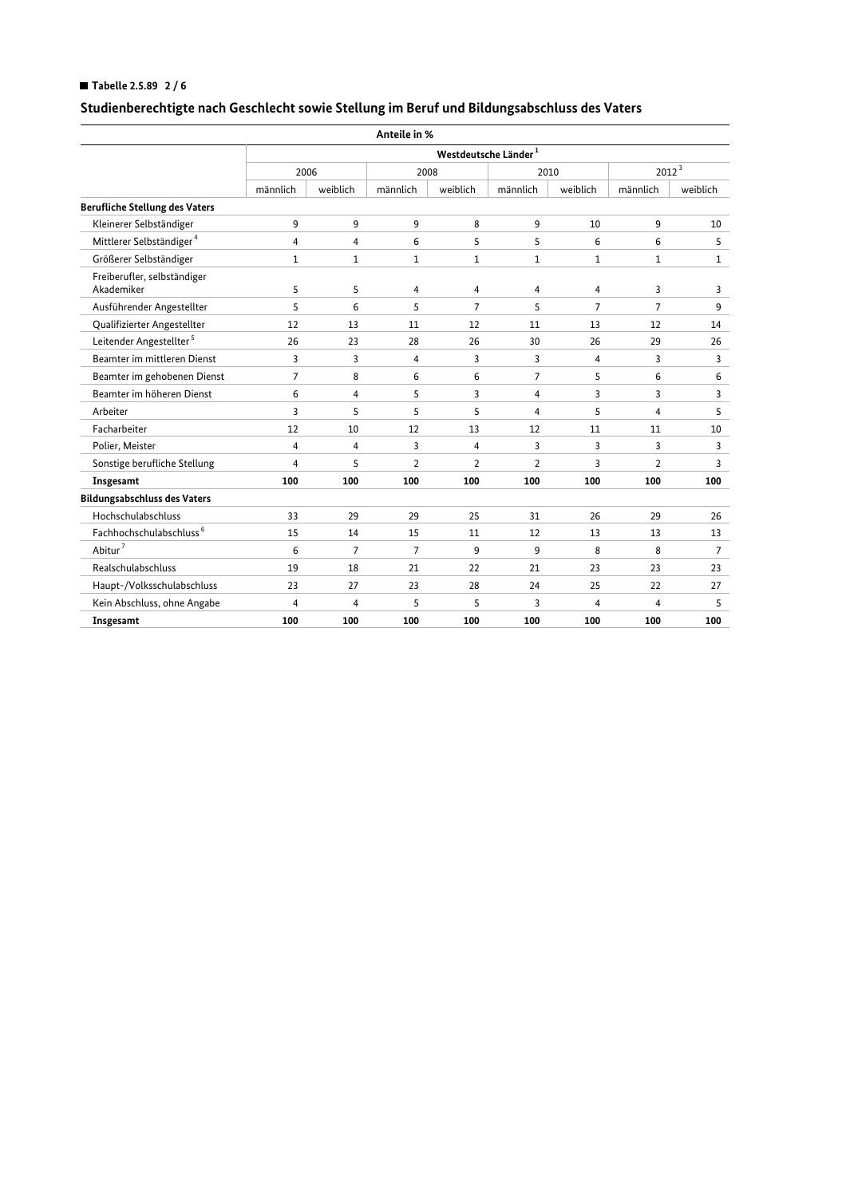## Tabelle 2.5.89  $2/6$

|                                           |                |                                  | Anteile in %   |                |                |                |                |                |  |  |  |  |  |
|-------------------------------------------|----------------|----------------------------------|----------------|----------------|----------------|----------------|----------------|----------------|--|--|--|--|--|
|                                           |                | Westdeutsche Länder <sup>1</sup> |                |                |                |                |                |                |  |  |  |  |  |
|                                           |                | 2006                             |                | 2008           |                | 2010           | $2012^3$       |                |  |  |  |  |  |
|                                           | männlich       | weiblich                         | männlich       | weiblich       | männlich       | weiblich       | männlich       | weiblich       |  |  |  |  |  |
| <b>Berufliche Stellung des Vaters</b>     |                |                                  |                |                |                |                |                |                |  |  |  |  |  |
| Kleinerer Selbständiger                   | 9              | 9                                | 9              | 8              | 9              | 10             | 9              | 10             |  |  |  |  |  |
| Mittlerer Selbständiger <sup>4</sup>      | 4              | 4                                | 6              | 5              | 5              | 6              | 6              | 5              |  |  |  |  |  |
| Größerer Selbständiger                    | $\mathbf{1}$   | $\mathbf{1}$                     | $\mathbf{1}$   | $\mathbf{1}$   | $\mathbf{1}$   | $\mathbf{1}$   | $\mathbf{1}$   | $\mathbf{1}$   |  |  |  |  |  |
| Freiberufler, selbständiger<br>Akademiker | 5              | 5                                | 4              | 4              | 4              | 4              | 3              | 3              |  |  |  |  |  |
| Ausführender Angestellter                 | 5              | 6                                | 5              | $\overline{7}$ | 5              | $\overline{7}$ | $\overline{7}$ | 9              |  |  |  |  |  |
| Qualifizierter Angestellter               | 12             | 13                               | 11             | 12             | 11             | 13             | 12             | 14             |  |  |  |  |  |
| Leitender Angestellter <sup>5</sup>       | 26             | 23                               | 28             | 26             | 30             | 26             | 29             | 26             |  |  |  |  |  |
| Beamter im mittleren Dienst               | 3              | 3                                | 4              | 3              | 3              | 4              | 3              | 3              |  |  |  |  |  |
| Beamter im gehobenen Dienst               | $\overline{7}$ | 8                                | 6              | 6              | $\overline{7}$ | 5              | 6              | 6              |  |  |  |  |  |
| Beamter im höheren Dienst                 | 6              | 4                                | 5              | 3              | 4              | 3              | 3              | 3              |  |  |  |  |  |
| Arbeiter                                  | 3              | 5                                | 5              | 5              | $\overline{4}$ | 5              | $\overline{4}$ | 5              |  |  |  |  |  |
| Facharbeiter                              | 12             | 10                               | 12             | 13             | 12             | 11             | 11             | 10             |  |  |  |  |  |
| Polier, Meister                           | 4              | $\overline{4}$                   | 3              | 4              | 3              | 3              | 3              | 3              |  |  |  |  |  |
| Sonstige berufliche Stellung              | 4              | 5                                | $\overline{2}$ | $\overline{2}$ | $\overline{2}$ | 3              | $\overline{2}$ | 3              |  |  |  |  |  |
| Insgesamt                                 | 100            | 100                              | 100            | 100            | 100            | 100            | 100            | 100            |  |  |  |  |  |
| <b>Bildungsabschluss des Vaters</b>       |                |                                  |                |                |                |                |                |                |  |  |  |  |  |
| Hochschulabschluss                        | 33             | 29                               | 29             | 25             | 31             | 26             | 29             | 26             |  |  |  |  |  |
| Fachhochschulabschluss <sup>6</sup>       | 15             | 14                               | 15             | 11             | 12             | 13             | 13             | 13             |  |  |  |  |  |
| Abitur <sup>7</sup>                       | 6              | $\overline{7}$                   | $\overline{7}$ | 9              | 9              | 8              | 8              | $\overline{7}$ |  |  |  |  |  |
| Realschulabschluss                        | 19             | 18                               | 21             | 22             | 21             | 23             | 23             | 23             |  |  |  |  |  |
| Haupt-/Volksschulabschluss                | 23             | 27                               | 23             | 28             | 24             | 25             | 22             | 27             |  |  |  |  |  |
| Kein Abschluss, ohne Angabe               | 4              | 4                                | 5              | 5              | 3              | 4              | 4              | 5              |  |  |  |  |  |
| Insgesamt                                 | 100            | 100                              | 100            | 100            | 100            | 100            | 100            | 100            |  |  |  |  |  |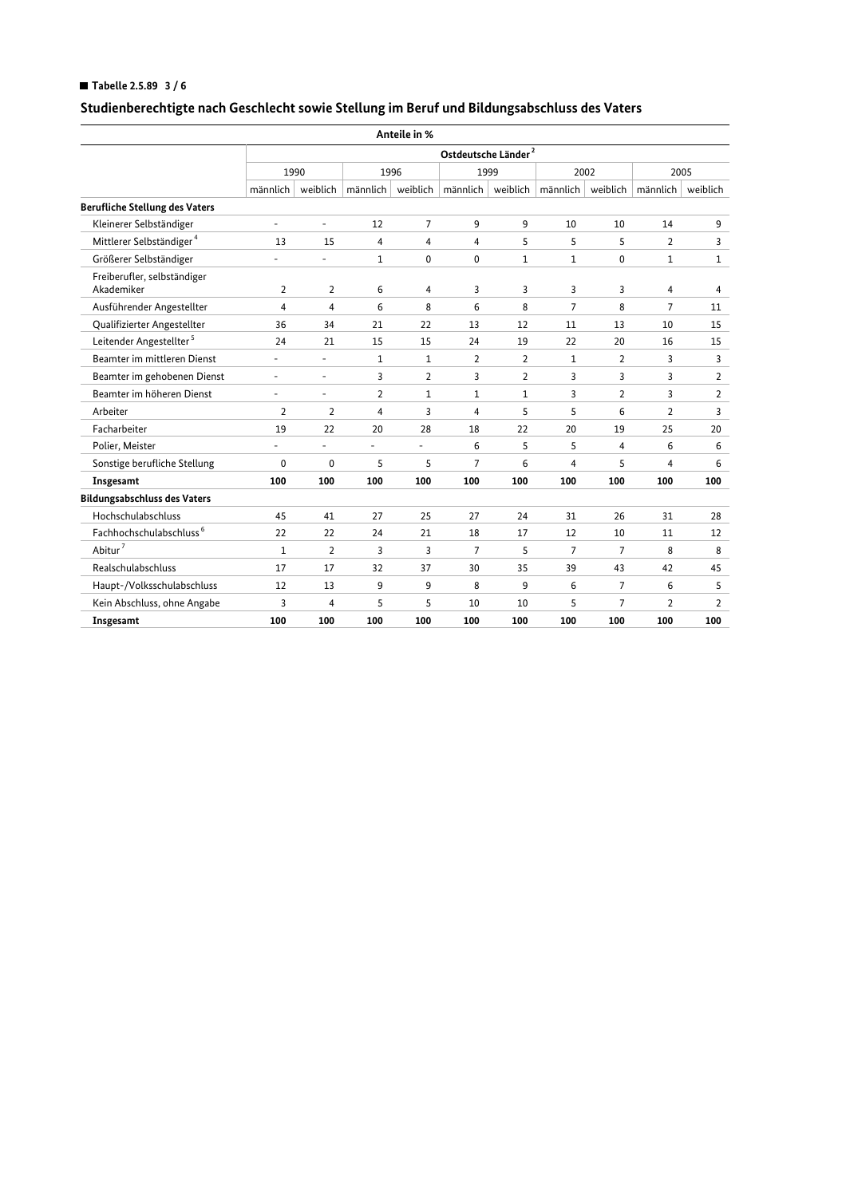## ■ Tabelle 2.5.89  $3/6$

|                                           |                          |                                    |                | Anteile in %   |                                           |                |                |                |                |                |  |  |  |
|-------------------------------------------|--------------------------|------------------------------------|----------------|----------------|-------------------------------------------|----------------|----------------|----------------|----------------|----------------|--|--|--|
|                                           |                          | Ostdeutsche Länder $^{\mathrm{2}}$ |                |                |                                           |                |                |                |                |                |  |  |  |
|                                           |                          | 1990                               |                | 1996           |                                           | 1999           | 2002           |                |                | 2005           |  |  |  |
|                                           | $m$ ännlich              |                                    |                |                | weiblich   männlich   weiblich   männlich | weiblich       | männlich       | weiblich       | männlich       | weiblich       |  |  |  |
| <b>Berufliche Stellung des Vaters</b>     |                          |                                    |                |                |                                           |                |                |                |                |                |  |  |  |
| Kleinerer Selbständiger                   | -                        | $\overline{\phantom{a}}$           | 12             | $\overline{7}$ | 9                                         | 9              | 10             | 10             | 14             | 9              |  |  |  |
| Mittlerer Selbständiger <sup>4</sup>      | 13                       | 15                                 | 4              | 4              | 4                                         | 5              | 5              | 5              | $\overline{2}$ | 3              |  |  |  |
| Größerer Selbständiger                    | ä,                       | ä,                                 | $\mathbf{1}$   | 0              | 0                                         | $\mathbf{1}$   | 1              | 0              | 1              | 1              |  |  |  |
| Freiberufler, selbständiger<br>Akademiker | 2                        | 2                                  | 6              | 4              | 3                                         | 3              | 3              | 3              | 4              | 4              |  |  |  |
| Ausführender Angestellter                 | 4                        | 4                                  | 6              | 8              | 6                                         | 8              | $\overline{7}$ | 8              | 7              | 11             |  |  |  |
| Qualifizierter Angestellter               | 36                       | 34                                 | 21             | 22             | 13                                        | 12             | 11             | 13             | 10             | 15             |  |  |  |
| Leitender Angestellter <sup>5</sup>       | 24                       | 21                                 | 15             | 15             | 24                                        | 19             | 22             | 20             | 16             | 15             |  |  |  |
| Beamter im mittleren Dienst               | $\overline{\phantom{0}}$ | ä,                                 | 1              | 1              | 2                                         | $\overline{2}$ | 1              | 2              | 3              | 3              |  |  |  |
| Beamter im gehobenen Dienst               | $\overline{\phantom{0}}$ | $\overline{\phantom{a}}$           | 3              | $\overline{2}$ | 3                                         | $\overline{2}$ | 3              | 3              | 3              | $\overline{2}$ |  |  |  |
| Beamter im höheren Dienst                 | $\overline{\phantom{0}}$ | $\overline{\phantom{a}}$           | 2              | 1              | $\mathbf{1}$                              | $\mathbf{1}$   | 3              | $\overline{2}$ | 3              | $\overline{2}$ |  |  |  |
| Arbeiter                                  | $\overline{2}$           | $\overline{2}$                     | $\overline{4}$ | 3              | $\overline{4}$                            | 5              | 5              | 6              | $\overline{2}$ | 3              |  |  |  |
| Facharbeiter                              | 19                       | 22                                 | 20             | 28             | 18                                        | 22             | 20             | 19             | 25             | 20             |  |  |  |
| Polier, Meister                           | $\overline{\phantom{0}}$ | ä,                                 |                | ٠              | 6                                         | 5              | 5              | 4              | 6              | 6              |  |  |  |
| Sonstige berufliche Stellung              | 0                        | 0                                  | 5              | 5              | $\overline{7}$                            | 6              | 4              | 5              | 4              | 6              |  |  |  |
| Insgesamt                                 | 100                      | 100                                | 100            | 100            | 100                                       | 100            | 100            | 100            | 100            | 100            |  |  |  |
| <b>Bildungsabschluss des Vaters</b>       |                          |                                    |                |                |                                           |                |                |                |                |                |  |  |  |
| Hochschulabschluss                        | 45                       | 41                                 | 27             | 25             | 27                                        | 24             | 31             | 26             | 31             | 28             |  |  |  |
| Fachhochschulabschluss <sup>6</sup>       | 22                       | 22                                 | 24             | 21             | 18                                        | 17             | 12             | 10             | 11             | 12             |  |  |  |
| Abitur $^7$                               | $\mathbf{1}$             | $\overline{2}$                     | 3              | 3              | $\overline{7}$                            | 5              | $\overline{7}$ | $\overline{7}$ | 8              | 8              |  |  |  |
| Realschulabschluss                        | 17                       | 17                                 | 32             | 37             | 30                                        | 35             | 39             | 43             | 42             | 45             |  |  |  |
| Haupt-/Volksschulabschluss                | 12                       | 13                                 | 9              | 9              | 8                                         | 9              | 6              | 7              | 6              | 5              |  |  |  |
| Kein Abschluss, ohne Angabe               | 3                        | 4                                  | 5              | 5              | 10                                        | 10             | 5              | $\overline{7}$ | $\overline{2}$ | $\overline{2}$ |  |  |  |
| Insgesamt                                 | 100                      | 100                                | 100            | 100            | 100                                       | 100            | 100            | 100            | 100            | 100            |  |  |  |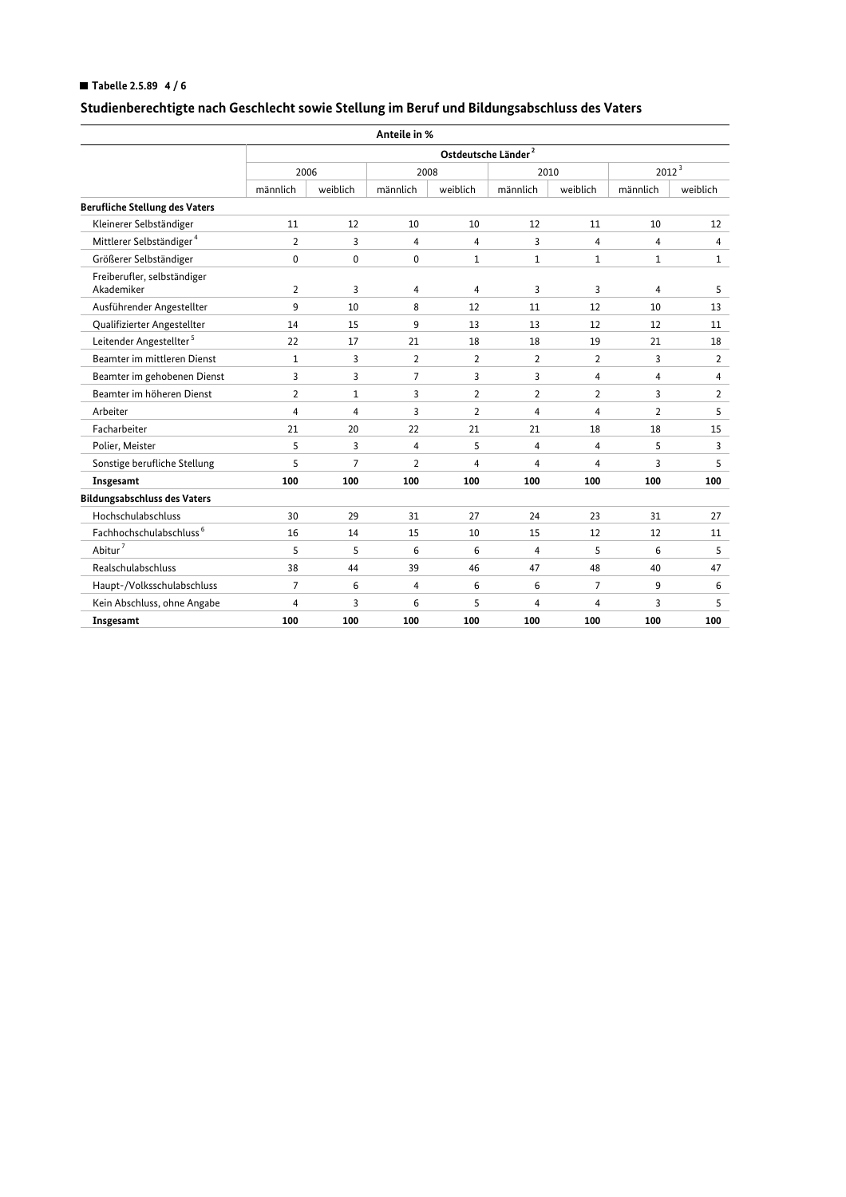## ■ Tabelle 2.5.89  $4/6$

|                                           |                |                | Anteile in %   |                |                                 |                |                   |                   |  |
|-------------------------------------------|----------------|----------------|----------------|----------------|---------------------------------|----------------|-------------------|-------------------|--|
|                                           |                |                |                |                | Ostdeutsche Länder <sup>2</sup> |                |                   |                   |  |
|                                           |                | 2006           |                | 2008           | 2010                            |                | 2012 <sup>3</sup> |                   |  |
|                                           | männlich       | weiblich       | männlich       | weiblich       | männlich                        | weiblich       | männlich          | weiblich          |  |
| <b>Berufliche Stellung des Vaters</b>     |                |                |                |                |                                 |                |                   |                   |  |
| Kleinerer Selbständiger                   | 11             | 12             | 10             | 10             | 12                              | 11             | 10                | $12 \overline{ }$ |  |
| Mittlerer Selbständiger <sup>4</sup>      | $\overline{2}$ | 3              | 4              | 4              | 3                               | 4              | 4                 | 4                 |  |
| Größerer Selbständiger                    | 0              | 0              | 0              | $\mathbf{1}$   | $\mathbf{1}$                    | $\mathbf{1}$   | $\mathbf{1}$      | $\mathbf{1}$      |  |
| Freiberufler, selbständiger<br>Akademiker | 2              | 3              | 4              | 4              | 3                               | 3              | 4                 | 5                 |  |
| Ausführender Angestellter                 | 9              | 10             | 8              | 12             | 11                              | 12             | 10                | 13                |  |
| Qualifizierter Angestellter               | 14             | 15             | 9              | 13             | 13                              | 12             | 12                | 11                |  |
| Leitender Angestellter <sup>5</sup>       | 22             | 17             | 21             | 18             | 18                              | 19             | 21                | 18                |  |
| Beamter im mittleren Dienst               | 1              | 3              | 2              | 2              | $\overline{2}$                  | 2              | 3                 | $\overline{2}$    |  |
| Beamter im gehobenen Dienst               | 3              | 3              | 7              | 3              | 3                               | 4              | 4                 | $\overline{4}$    |  |
| Beamter im höheren Dienst                 | $\overline{2}$ | $\mathbf{1}$   | 3              | $\overline{2}$ | $\overline{2}$                  | $\overline{2}$ | 3                 | $\overline{2}$    |  |
| Arbeiter                                  | 4              | 4              | 3              | $\overline{2}$ | 4                               | 4              | $\overline{2}$    | 5                 |  |
| Facharbeiter                              | 21             | 20             | 22             | 21             | 21                              | 18             | 18                | 15                |  |
| Polier, Meister                           | 5              | 3              | 4              | 5              | 4                               | 4              | 5                 | 3                 |  |
| Sonstige berufliche Stellung              | 5              | $\overline{7}$ | $\overline{2}$ | 4              | $\overline{4}$                  | 4              | 3                 | 5                 |  |
| Insgesamt                                 | 100            | 100            | 100            | 100            | 100                             | 100            | 100               | 100               |  |
| <b>Bildungsabschluss des Vaters</b>       |                |                |                |                |                                 |                |                   |                   |  |
| Hochschulabschluss                        | 30             | 29             | 31             | 27             | 24                              | 23             | 31                | 27                |  |
| Fachhochschulabschluss <sup>6</sup>       | 16             | 14             | 15             | 10             | 15                              | 12             | 12                | 11                |  |
| Abitur <sup>7</sup>                       | 5              | 5              | 6              | 6              | $\overline{4}$                  | 5              | 6                 | 5                 |  |
| Realschulabschluss                        | 38             | 44             | 39             | 46             | 47                              | 48             | 40                | 47                |  |
| Haupt-/Volksschulabschluss                | 7              | 6              | 4              | 6              | 6                               | 7              | 9                 | 6                 |  |
| Kein Abschluss, ohne Angabe               | 4              | 3              | 6              | 5              | 4                               | 4              | 3                 | 5                 |  |
| Insgesamt                                 | 100            | 100            | 100            | 100            | 100                             | 100            | 100               | 100               |  |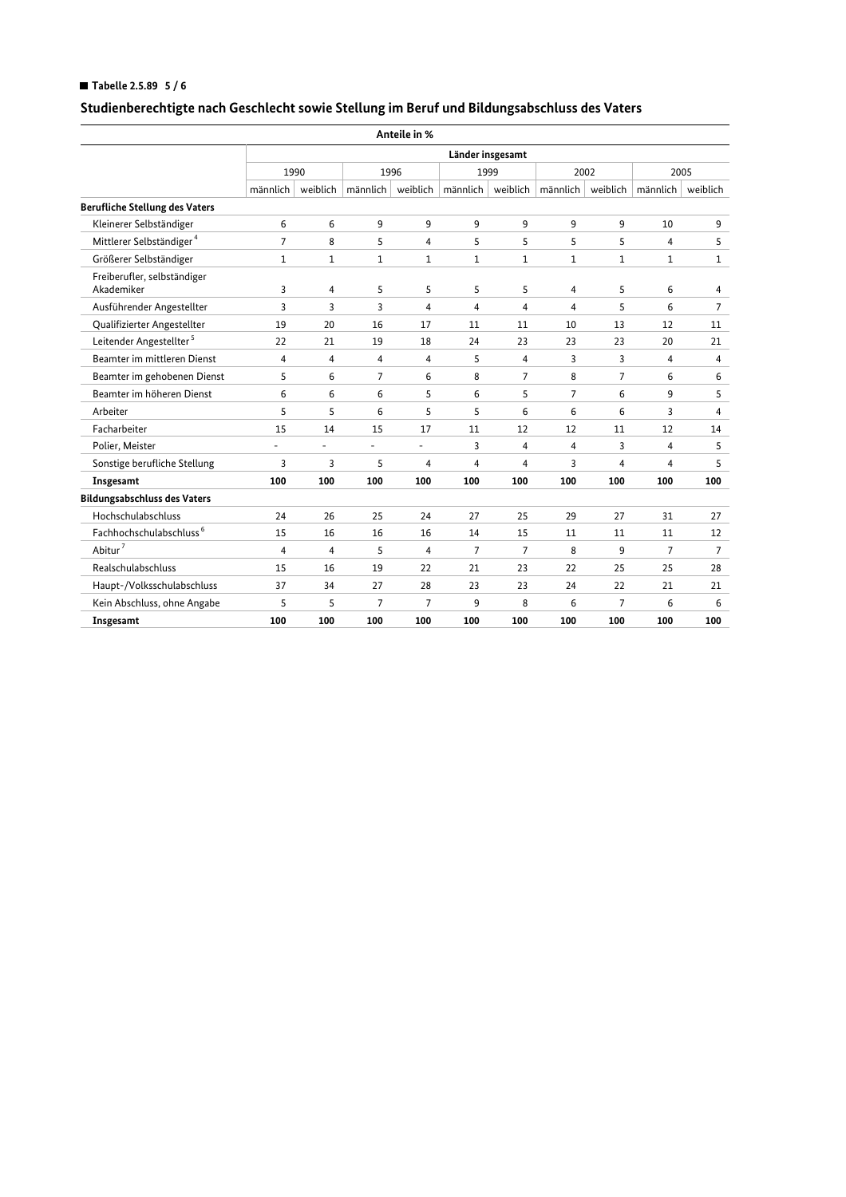## ■ Tabelle 2.5.89  $5/6$

|                                           |                |                  |                                 | Anteile in %   |                |                |                |                |          |                |  |  |  |
|-------------------------------------------|----------------|------------------|---------------------------------|----------------|----------------|----------------|----------------|----------------|----------|----------------|--|--|--|
|                                           |                | Länder insgesamt |                                 |                |                |                |                |                |          |                |  |  |  |
|                                           |                | 1990             |                                 | 1996           |                | 1999           | 2002           |                |          | 2005           |  |  |  |
|                                           | $m$ ännlich    |                  | weiblich $\mid$ männlich $\mid$ | weiblich       | männlich       | weiblich       | männlich       | weiblich       | männlich | weiblich       |  |  |  |
| <b>Berufliche Stellung des Vaters</b>     |                |                  |                                 |                |                |                |                |                |          |                |  |  |  |
| Kleinerer Selbständiger                   | 6              | 6                | 9                               | 9              | 9              | 9              | 9              | 9              | 10       | 9              |  |  |  |
| Mittlerer Selbständiger <sup>4</sup>      | $\overline{7}$ | 8                | 5                               | $\overline{4}$ | 5              | 5              | 5              | 5              | 4        | 5              |  |  |  |
| Größerer Selbständiger                    | 1              | 1                | 1                               | 1              | 1              | 1              | 1              | 1              | 1        | 1              |  |  |  |
| Freiberufler, selbständiger<br>Akademiker | 3              | 4                | 5                               | 5              | 5              | 5              | 4              | 5              | 6        | 4              |  |  |  |
| Ausführender Angestellter                 | 3              | 3                | 3                               | 4              | 4              | 4              | 4              | 5              | 6        | 7              |  |  |  |
| Qualifizierter Angestellter               | 19             | 20               | 16                              | 17             | 11             | 11             | 10             | 13             | 12       | 11             |  |  |  |
| Leitender Angestellter <sup>5</sup>       | 22             | 21               | 19                              | 18             | 24             | 23             | 23             | 23             | 20       | 21             |  |  |  |
| Beamter im mittleren Dienst               | 4              | 4                | 4                               | 4              | 5              | $\overline{4}$ | 3              | 3              | 4        | 4              |  |  |  |
| Beamter im gehobenen Dienst               | 5              | 6                | $\overline{7}$                  | 6              | 8              | $\overline{7}$ | 8              | $\overline{7}$ | 6        | 6              |  |  |  |
| Beamter im höheren Dienst                 | 6              | 6                | 6                               | 5              | 6              | 5              | $\overline{7}$ | 6              | 9        | 5              |  |  |  |
| Arbeiter                                  | 5              | 5                | 6                               | 5              | 5              | 6              | 6              | 6              | 3        | $\overline{4}$ |  |  |  |
| Facharbeiter                              | 15             | 14               | 15                              | 17             | 11             | 12             | 12             | 11             | 12       | 14             |  |  |  |
| Polier, Meister                           | ä,             | ä,               |                                 | ä,             | 3              | 4              | 4              | 3              | 4        | 5              |  |  |  |
| Sonstige berufliche Stellung              | 3              | 3                | 5                               | 4              | 4              | 4              | 3              | 4              | 4        | 5              |  |  |  |
| Insgesamt                                 | 100            | 100              | 100                             | 100            | 100            | 100            | 100            | 100            | 100      | 100            |  |  |  |
| <b>Bildungsabschluss des Vaters</b>       |                |                  |                                 |                |                |                |                |                |          |                |  |  |  |
| Hochschulabschluss                        | 24             | 26               | 25                              | 24             | 27             | 25             | 29             | 27             | 31       | 27             |  |  |  |
| Fachhochschulabschluss <sup>6</sup>       | 15             | 16               | 16                              | 16             | 14             | 15             | 11             | 11             | 11       | 12             |  |  |  |
| Abitur $^7$                               | $\overline{4}$ | 4                | 5                               | 4              | $\overline{7}$ | $\overline{7}$ | 8              | 9              | 7        | $\overline{7}$ |  |  |  |
| Realschulabschluss                        | 15             | 16               | 19                              | 22             | 21             | 23             | 22             | 25             | 25       | 28             |  |  |  |
| Haupt-/Volksschulabschluss                | 37             | 34               | 27                              | 28             | 23             | 23             | 24             | 22             | 21       | 21             |  |  |  |
| Kein Abschluss, ohne Angabe               | 5              | 5                | $\overline{7}$                  | $\overline{7}$ | 9              | 8              | 6              | $\overline{7}$ | 6        | 6              |  |  |  |
| Insgesamt                                 | 100            | 100              | 100                             | 100            | 100            | 100            | 100            | 100            | 100      | 100            |  |  |  |